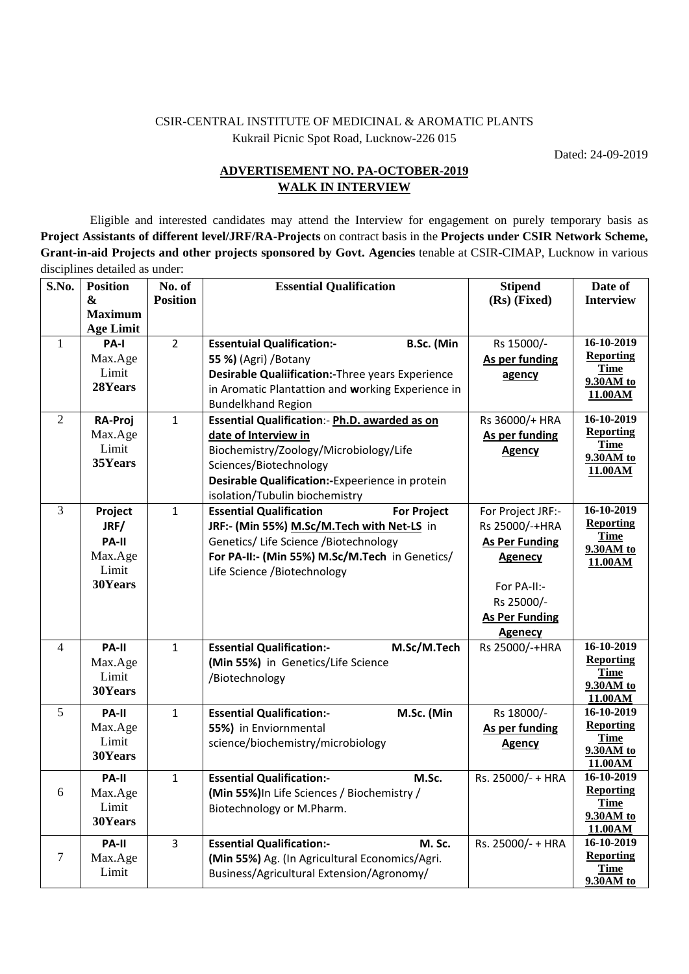## CSIR-CENTRAL INSTITUTE OF MEDICINAL & AROMATIC PLANTS Kukrail Picnic Spot Road, Lucknow-226 015

Dated: 24-09-2019

## **ADVERTISEMENT NO. PA-OCTOBER-2019 WALK IN INTERVIEW**

 Eligible and interested candidates may attend the Interview for engagement on purely temporary basis as **Project Assistants of different level/JRF/RA-Projects** on contract basis in the **Projects under CSIR Network Scheme, Grant-in-aid Projects and other projects sponsored by Govt. Agencies** tenable at CSIR-CIMAP, Lucknow in various disciplines detailed as under:

| S.No.          | <b>Position</b>  | No. of          | <b>Essential Qualification</b>                       | <b>Stipend</b>        | Date of                        |
|----------------|------------------|-----------------|------------------------------------------------------|-----------------------|--------------------------------|
|                | $\mathbf{\&}$    | <b>Position</b> |                                                      | (Rs) (Fixed)          | <b>Interview</b>               |
|                | <b>Maximum</b>   |                 |                                                      |                       |                                |
|                | <b>Age Limit</b> |                 |                                                      |                       |                                |
| 1              | PA-I             | $\overline{2}$  | B.Sc. (Min<br><b>Essentuial Qualification:-</b>      | Rs 15000/-            | 16-10-2019                     |
|                | Max.Age          |                 | 55 %) (Agri) / Botany                                | As per funding        | <b>Reporting</b>               |
|                | Limit            |                 | Desirable Qualiification:-Three years Experience     | agency                | <b>Time</b><br>9.30AM to       |
|                | 28Years          |                 | in Aromatic Plantattion and working Experience in    |                       | 11.00AM                        |
|                |                  |                 | <b>Bundelkhand Region</b>                            |                       |                                |
| 2              | <b>RA-Proj</b>   | $\mathbf{1}$    | Essential Qualification: - Ph.D. awarded as on       | Rs 36000/+ HRA        | 16-10-2019                     |
|                | Max.Age          |                 | date of Interview in                                 | As per funding        | <b>Reporting</b>               |
|                | Limit            |                 | Biochemistry/Zoology/Microbiology/Life               | <b>Agency</b>         | <b>Time</b><br>9.30AM to       |
|                | 35Years          |                 | Sciences/Biotechnology                               |                       | 11.00AM                        |
|                |                  |                 | Desirable Qualification:-Expeerience in protein      |                       |                                |
|                |                  |                 | isolation/Tubulin biochemistry                       |                       |                                |
| 3              | Project          | $\mathbf{1}$    | <b>Essential Qualification</b><br><b>For Project</b> | For Project JRF:-     | 16-10-2019                     |
|                | JRF/             |                 | JRF:- (Min 55%) M.Sc/M.Tech with Net-LS in           | Rs 25000/-+HRA        | <b>Reporting</b>               |
|                | PA-II            |                 | Genetics/ Life Science / Biotechnology               | <b>As Per Funding</b> | <b>Time</b>                    |
|                | Max.Age          |                 | For PA-II:- (Min 55%) M.Sc/M.Tech in Genetics/       | <b>Agenecy</b>        | 9.30AM to<br>11.00AM           |
|                | Limit            |                 | Life Science /Biotechnology                          |                       |                                |
|                | 30Years          |                 |                                                      | For PA-II:-           |                                |
|                |                  |                 |                                                      | Rs 25000/-            |                                |
|                |                  |                 |                                                      | <b>As Per Funding</b> |                                |
|                |                  |                 |                                                      | <b>Agenecy</b>        |                                |
| $\overline{4}$ | PA-II            | $\mathbf{1}$    | <b>Essential Qualification:-</b><br>M.Sc/M.Tech      | Rs 25000/-+HRA        | 16-10-2019                     |
|                | Max.Age          |                 | (Min 55%) in Genetics/Life Science                   |                       | <b>Reporting</b>               |
|                | Limit            |                 | /Biotechnology                                       |                       | <b>Time</b>                    |
|                | 30Years          |                 |                                                      |                       | 9.30AM to<br>11.00AM           |
| 5              | PA-II            | $\mathbf{1}$    | <b>Essential Qualification:-</b><br>M.Sc. (Min       | Rs 18000/-            | 16-10-2019                     |
|                | Max.Age          |                 | 55%) in Enviornmental                                | As per funding        | <b>Reporting</b>               |
|                | Limit            |                 | science/biochemistry/microbiology                    | <b>Agency</b>         | <b>Time</b>                    |
|                | 30Years          |                 |                                                      |                       | 9.30AM to                      |
|                |                  |                 |                                                      |                       | 11.00AM                        |
|                | PA-II            | $\mathbf{1}$    | <b>Essential Qualification:-</b><br>M.Sc.            | Rs. 25000/- + HRA     | 16-10-2019<br><b>Reporting</b> |
| 6              | Max.Age          |                 | (Min 55%) In Life Sciences / Biochemistry /          |                       | <b>Time</b>                    |
|                | Limit            |                 | Biotechnology or M.Pharm.                            |                       | 9.30AM to                      |
|                | 30Years          |                 |                                                      |                       | 11.00AM                        |
|                | PA-II            | $\overline{3}$  | <b>Essential Qualification:-</b><br>M. Sc.           | Rs. 25000/- + HRA     | 16-10-2019                     |
| $\tau$         | Max.Age          |                 | (Min 55%) Ag. (In Agricultural Economics/Agri.       |                       | <b>Reporting</b>               |
|                | Limit            |                 | Business/Agricultural Extension/Agronomy/            |                       | <b>Time</b>                    |
|                |                  |                 |                                                      |                       | 9.30AM to                      |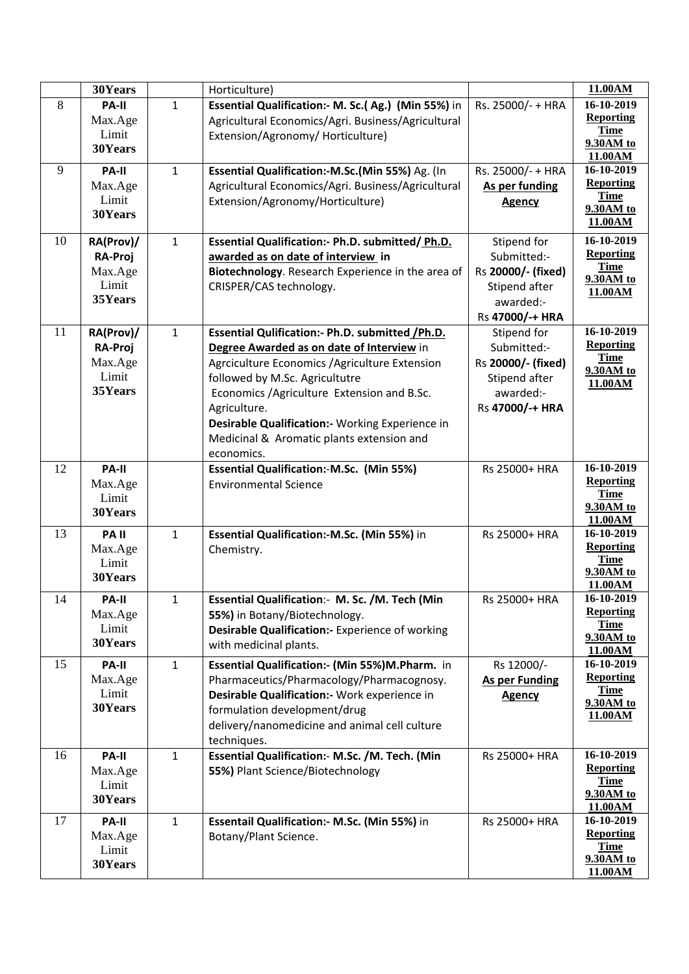|    | 30Years          |              | Horticulture)                                      |                       | 11.00AM                         |
|----|------------------|--------------|----------------------------------------------------|-----------------------|---------------------------------|
| 8  | PA-II            | $\mathbf{1}$ | Essential Qualification:- M. Sc.(Ag.) (Min 55%) in | Rs. 25000/- + HRA     | 16-10-2019                      |
|    | Max.Age          |              | Agricultural Economics/Agri. Business/Agricultural |                       | <b>Reporting</b>                |
|    | Limit            |              | Extension/Agronomy/ Horticulture)                  |                       | <b>Time</b>                     |
|    | 30Years          |              |                                                    |                       | 9.30AM to                       |
| 9  | PA-II            | $\mathbf{1}$ | Essential Qualification:-M.Sc.(Min 55%) Ag. (In    | Rs. 25000/- + HRA     | 11.00AM<br>16-10-2019           |
|    | Max.Age          |              | Agricultural Economics/Agri. Business/Agricultural | As per funding        | <b>Reporting</b>                |
|    | Limit            |              | Extension/Agronomy/Horticulture)                   |                       | <b>Time</b>                     |
|    | 30Years          |              |                                                    | <b>Agency</b>         | 9.30AM to                       |
|    |                  |              |                                                    |                       | 11.00AM                         |
| 10 | RA(Prov)/        | $\mathbf{1}$ | Essential Qualification:- Ph.D. submitted/ Ph.D.   | Stipend for           | 16-10-2019                      |
|    | RA-Proj          |              | awarded as on date of interview in                 | Submitted:-           | <b>Reporting</b>                |
|    | Max.Age          |              | Biotechnology. Research Experience in the area of  | Rs 20000/- (fixed)    | <b>Time</b>                     |
|    | Limit            |              | CRISPER/CAS technology.                            | Stipend after         | 9.30AM to<br>11.00AM            |
|    | 35Years          |              |                                                    | awarded:-             |                                 |
|    |                  |              |                                                    | Rs 47000/-+ HRA       |                                 |
| 11 | RA(Prov)/        | $\mathbf{1}$ | Essential Qulification:- Ph.D. submitted / Ph.D.   | Stipend for           | 16-10-2019                      |
|    | <b>RA-Proj</b>   |              | Degree Awarded as on date of Interview in          | Submitted:-           | <b>Reporting</b>                |
|    | Max.Age          |              | Agrciculture Economics / Agriculture Extension     | Rs 20000/- (fixed)    | <b>Time</b>                     |
|    | Limit            |              | followed by M.Sc. Agricultutre                     | Stipend after         | 9.30AM to<br>11.00AM            |
|    | 35Years          |              | Economics / Agriculture Extension and B.Sc.        | awarded:-             |                                 |
|    |                  |              | Agriculture.                                       | Rs 47000/-+ HRA       |                                 |
|    |                  |              | Desirable Qualification:- Working Experience in    |                       |                                 |
|    |                  |              | Medicinal & Aromatic plants extension and          |                       |                                 |
|    |                  |              | economics.                                         |                       |                                 |
| 12 | PA-II            |              | <b>Essential Qualification:-M.Sc. (Min 55%)</b>    | Rs 25000+ HRA         | 16-10-2019                      |
|    | Max.Age          |              | <b>Environmental Science</b>                       |                       | <b>Reporting</b>                |
|    | Limit            |              |                                                    |                       | <b>Time</b>                     |
|    | 30Years          |              |                                                    |                       | 9.30AM to<br>11.00AM            |
| 13 | <b>PAII</b>      | $\mathbf{1}$ | Essential Qualification:-M.Sc. (Min 55%) in        | Rs 25000+ HRA         | 16-10-2019                      |
|    | Max.Age          |              | Chemistry.                                         |                       | <b>Reporting</b>                |
|    | Limit            |              |                                                    |                       | <b>Time</b>                     |
|    | 30Years          |              |                                                    |                       | 9.30AM to                       |
|    |                  |              |                                                    |                       | 11.00AM                         |
| 14 | PA-II            | 1            | Essential Qualification: M. Sc. /M. Tech (Min      | Rs 25000+ HRA         | 16-10-2019                      |
|    | Max.Age          |              | 55%) in Botany/Biotechnology.                      |                       | <b>Reporting</b><br><b>Time</b> |
|    | Limit<br>30Years |              | Desirable Qualification:- Experience of working    |                       | 9.30AM to                       |
|    |                  |              | with medicinal plants.                             |                       | 11.00AM                         |
| 15 | PA-II            | $\mathbf{1}$ | Essential Qualification:- (Min 55%)M.Pharm. in     | Rs 12000/-            | 16-10-2019                      |
|    | Max.Age          |              | Pharmaceutics/Pharmacology/Pharmacognosy.          | <b>As per Funding</b> | <b>Reporting</b>                |
|    | Limit            |              | Desirable Qualification:- Work experience in       | <b>Agency</b>         | <b>Time</b><br>9.30AM to        |
|    | 30Years          |              | formulation development/drug                       |                       | 11.00AM                         |
|    |                  |              | delivery/nanomedicine and animal cell culture      |                       |                                 |
|    |                  |              | techniques.                                        |                       |                                 |
| 16 | <b>PA-II</b>     | $\mathbf{1}$ | Essential Qualification: - M.Sc. /M. Tech. (Min    | Rs 25000+ HRA         | 16-10-2019                      |
|    | Max.Age          |              | 55%) Plant Science/Biotechnology                   |                       | <b>Reporting</b><br><b>Time</b> |
|    | Limit            |              |                                                    |                       | 9.30AM to                       |
|    | 30Years          |              |                                                    |                       | 11.00AM                         |
| 17 | <b>PA-II</b>     | $\mathbf{1}$ | Essentail Qualification: - M.Sc. (Min 55%) in      | Rs 25000+ HRA         | 16-10-2019                      |
|    | Max.Age          |              | Botany/Plant Science.                              |                       | <b>Reporting</b>                |
|    | Limit            |              |                                                    |                       | Time                            |
|    | 30Years          |              |                                                    |                       | 9.30AM to<br>11.00AM            |
|    |                  |              |                                                    |                       |                                 |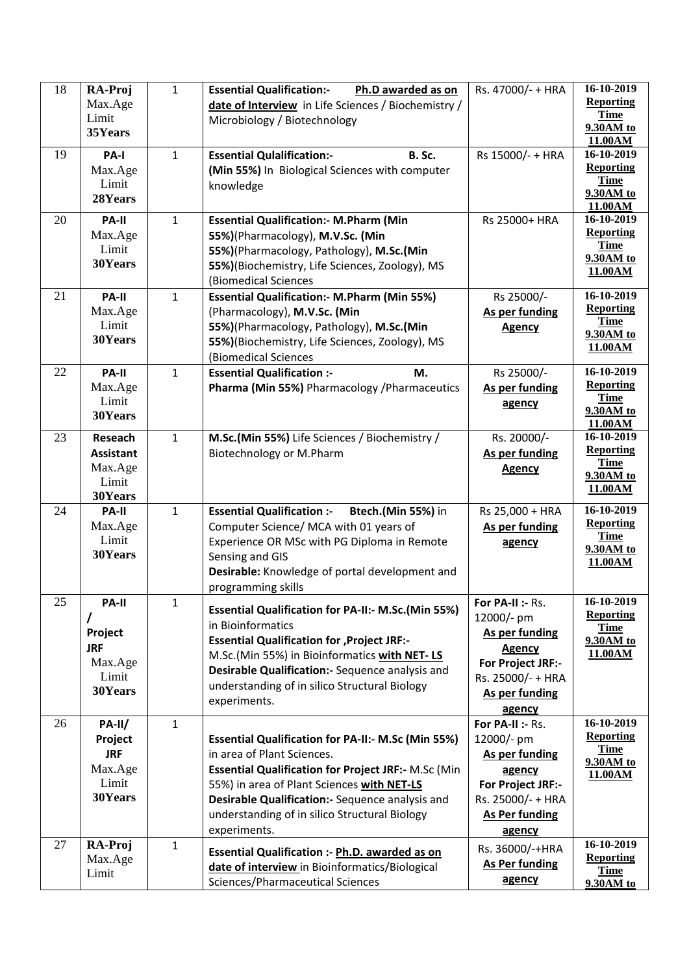| 18 | RA-Proj             | $\mathbf{1}$ | <b>Essential Qualification:-</b><br>Ph.D awarded as on                             | Rs. 47000/- + HRA          | 16-10-2019                      |
|----|---------------------|--------------|------------------------------------------------------------------------------------|----------------------------|---------------------------------|
|    | Max.Age             |              | date of Interview in Life Sciences / Biochemistry /                                |                            | <b>Reporting</b>                |
|    | Limit               |              | Microbiology / Biotechnology                                                       |                            | <b>Time</b>                     |
|    | 35Years             |              |                                                                                    |                            | 9.30AM to<br>11.00AM            |
| 19 | PA-I                | $\mathbf{1}$ | <b>Essential Qulalification:-</b><br><b>B.</b> Sc.                                 | Rs 15000/- + HRA           | $16 - 10 - 2019$                |
|    | Max.Age             |              | (Min 55%) In Biological Sciences with computer                                     |                            | <b>Reporting</b>                |
|    | Limit               |              | knowledge                                                                          |                            | <b>Time</b>                     |
|    | 28Years             |              |                                                                                    |                            | 9.30AM to                       |
| 20 | PA-II               | $\mathbf{1}$ |                                                                                    | Rs 25000+ HRA              | 11.00AM<br>16-10-2019           |
|    | Max.Age             |              | <b>Essential Qualification:- M.Pharm (Min</b><br>55%)(Pharmacology), M.V.Sc. (Min  |                            | <b>Reporting</b>                |
|    | Limit               |              | 55%)(Pharmacology, Pathology), M.Sc.(Min                                           |                            | <b>Time</b>                     |
|    | 30Years             |              | 55%)(Biochemistry, Life Sciences, Zoology), MS                                     |                            | 9.30AM to                       |
|    |                     |              | (Biomedical Sciences                                                               |                            | 11.00AM                         |
| 21 | PA-II               | $\mathbf{1}$ | <b>Essential Qualification:- M.Pharm (Min 55%)</b>                                 | Rs 25000/-                 | 16-10-2019                      |
|    | Max.Age             |              | (Pharmacology), M.V.Sc. (Min                                                       | As per funding             | <b>Reporting</b>                |
|    | Limit               |              | 55%)(Pharmacology, Pathology), M.Sc.(Min                                           | <b>Agency</b>              | <b>Time</b>                     |
|    | 30Years             |              | 55%)(Biochemistry, Life Sciences, Zoology), MS                                     |                            | 9.30AM to                       |
|    |                     |              | (Biomedical Sciences                                                               |                            | 11.00AM                         |
| 22 | PA-II               | $\mathbf{1}$ | <b>Essential Qualification :-</b><br>M.                                            | Rs 25000/-                 | 16-10-2019                      |
|    | Max.Age             |              | Pharma (Min 55%) Pharmacology / Pharmaceutics                                      | As per funding             | <b>Reporting</b>                |
|    | Limit               |              |                                                                                    | agency                     | <b>Time</b>                     |
|    | 30Years             |              |                                                                                    |                            | 9.30AM to                       |
| 23 | Reseach             | $\mathbf{1}$ | M.Sc.(Min 55%) Life Sciences / Biochemistry /                                      | Rs. 20000/-                | 11.00AM<br>16-10-2019           |
|    | <b>Assistant</b>    |              | Biotechnology or M.Pharm                                                           | As per funding             | <b>Reporting</b>                |
|    | Max.Age             |              |                                                                                    | <b>Agency</b>              | <b>Time</b>                     |
|    | Limit               |              |                                                                                    |                            | 9.30AM to                       |
|    | 30Years             |              |                                                                                    |                            | 11.00AM                         |
| 24 | PA-II               | $\mathbf{1}$ | <b>Essential Qualification :-</b><br>Btech.(Min 55%) in                            | Rs 25,000 + HRA            | 16-10-2019                      |
|    | Max.Age             |              | Computer Science/ MCA with 01 years of                                             | As per funding             | <b>Reporting</b>                |
|    | Limit               |              | Experience OR MSc with PG Diploma in Remote                                        | agency                     | <b>Time</b><br>9.30AM to        |
|    | 30Years             |              | Sensing and GIS                                                                    |                            | 11.00AM                         |
|    |                     |              | Desirable: Knowledge of portal development and                                     |                            |                                 |
|    |                     |              | programming skills                                                                 |                            |                                 |
| 25 | PA-II               | 1            | Essential Qualification for PA-II:- M.Sc.(Min 55%)                                 | For PA-II :- Rs.           | 16-10-2019                      |
|    |                     |              | in Bioinformatics                                                                  | 12000/- pm                 | <b>Reporting</b><br><b>Time</b> |
|    | Project             |              | <b>Essential Qualification for , Project JRF:-</b>                                 | As per funding             | 9.30AM to                       |
|    | <b>JRF</b>          |              | M.Sc.(Min 55%) in Bioinformatics with NET-LS                                       | <b>Agency</b>              | 11.00AM                         |
|    | Max.Age             |              | Desirable Qualification:- Sequence analysis and                                    | <b>For Project JRF:-</b>   |                                 |
|    | Limit<br>30Years    |              | understanding of in silico Structural Biology                                      | Rs. 25000/- + HRA          |                                 |
|    |                     |              | experiments.                                                                       | As per funding             |                                 |
| 26 |                     |              |                                                                                    | agency<br>For PA-II :- Rs. | 16-10-2019                      |
|    | $PA-II/$<br>Project | $\mathbf{1}$ | <b>Essential Qualification for PA-II:- M.Sc (Min 55%)</b>                          | 12000/- pm                 | <b>Reporting</b>                |
|    | <b>JRF</b>          |              | in area of Plant Sciences.                                                         | As per funding             | <b>Time</b>                     |
|    | Max.Age             |              | <b>Essential Qualification for Project JRF:- M.Sc (Min</b>                         | agency                     | 9.30AM to                       |
|    | Limit               |              | 55%) in area of Plant Sciences with NET-LS                                         | For Project JRF:-          | 11.00AM                         |
|    | 30Years             |              | Desirable Qualification:- Sequence analysis and                                    | Rs. 25000/- + HRA          |                                 |
|    |                     |              | understanding of in silico Structural Biology                                      | <b>As Per funding</b>      |                                 |
|    |                     |              | experiments.                                                                       | agency                     |                                 |
| 27 | RA-Proj             | $\mathbf{1}$ |                                                                                    | Rs. 36000/-+HRA            | 16-10-2019                      |
|    | Max.Age             |              | <b>Essential Qualification :- Ph.D. awarded as on</b>                              | <b>As Per funding</b>      | <b>Reporting</b>                |
|    | Limit               |              | date of interview in Bioinformatics/Biological<br>Sciences/Pharmaceutical Sciences | agency                     | <b>Time</b>                     |
|    |                     |              |                                                                                    |                            | 9.30AM to                       |